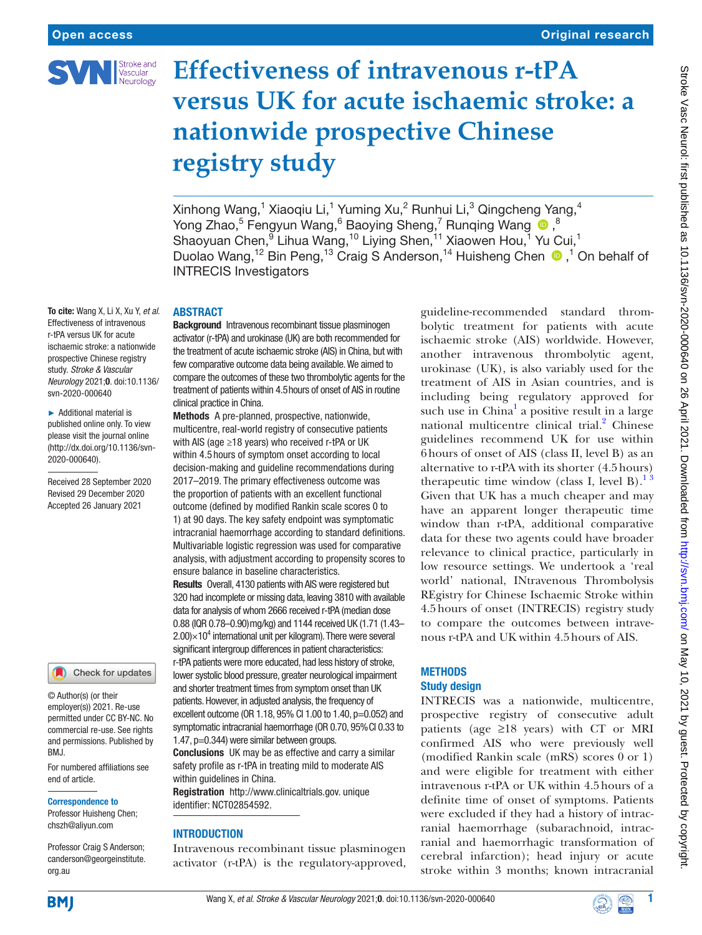

# **Effectiveness of intravenous r-tPA versus UK for acute ischaemic stroke: a nationwide prospective Chinese registry study**

Xinhong Wang, $^1$  Xiaoqiu Li, $^1$  Yuming Xu, $^2$  Runhui Li, $^3$  Qingcheng Yang, $^4$ Yong Zhao,<sup>5</sup> Fengyun Wang,<sup>6</sup> Baoying Sheng,<sup>7</sup> Runqing Wang <sup>®</sup>,<sup>8</sup> Shaoyuan Chen, <sup>9</sup> Lihua Wang, <sup>10</sup> Liying Shen, <sup>11</sup> Xiaowen Hou, <sup>1</sup> Yu Cui, <sup>1</sup> Duolao Wang,<sup>12</sup> Bin Peng,<sup>13</sup> Craig S Anderson,<sup>14</sup> Huisheng Chen  $\bullet$ ,<sup>1</sup> On behalf of INTRECIS Investigators

To cite: Wang X, Li X, Xu Y, *et al*. Effectiveness of intravenous r-tPA versus UK for acute ischaemic stroke: a nationwide prospective Chinese registry study. *Stroke & Vascular Neurology* 2021;0. doi:10.1136/ svn-2020-000640

► Additional material is published online only. To view please visit the journal online [\(http://dx.doi.org/10.1136/svn-](http://dx.doi.org/10.1136/svn-2020-000640)[2020-000640\)](http://dx.doi.org/10.1136/svn-2020-000640).

Received 28 September 2020 Revised 29 December 2020 Accepted 26 January 2021

#### Check for updates

© Author(s) (or their employer(s)) 2021. Re-use permitted under CC BY-NC. No commercial re-use. See rights and permissions. Published by BMJ.

For numbered affiliations see end of article.

Correspondence to

Professor Huisheng Chen; chszh@aliyun.com

Professor Craig S Anderson; canderson@georgeinstitute. org.au

# ABSTRACT

Background Intravenous recombinant tissue plasminogen activator (r-tPA) and urokinase (UK) are both recommended for the treatment of acute ischaemic stroke (AIS) in China, but with few comparative outcome data being available. We aimed to compare the outcomes of these two thrombolytic agents for the treatment of patients within 4.5hours of onset of AIS in routine clinical practice in China.

Methods A pre-planned, prospective, nationwide, multicentre, real-world registry of consecutive patients with AIS (age ≥18 years) who received r-tPA or UK within 4.5 hours of symptom onset according to local decision-making and guideline recommendations during 2017–2019. The primary effectiveness outcome was the proportion of patients with an excellent functional outcome (defined by modified Rankin scale scores 0 to 1) at 90 days. The key safety endpoint was symptomatic intracranial haemorrhage according to standard definitions. Multivariable logistic regression was used for comparative analysis, with adjustment according to propensity scores to ensure balance in baseline characteristics.

Results Overall, 4130 patients with AIS were registered but 320 had incomplete or missing data, leaving 3810 with available data for analysis of whom 2666 received r-tPA (median dose 0.88 (IQR 0.78–0.90)mg/kg) and 1144 received UK (1.71 (1.43–  $2.00\times10^4$  international unit per kilogram). There were several significant intergroup differences in patient characteristics: r-tPA patients were more educated, had less history of stroke, lower systolic blood pressure, greater neurological impairment and shorter treatment times from symptom onset than UK patients. However, in adjusted analysis, the frequency of excellent outcome (OR 1.18, 95% CI 1.00 to 1.40, p=0.052) and symptomatic intracranial haemorrhage (OR 0.70, 95%CI 0.33 to 1.47, p=0.344) were similar between groups.

Conclusions UK may be as effective and carry a similar safety profile as r-tPA in treating mild to moderate AIS within guidelines in China.

Registration <http://www.clinicaltrials.gov>. unique identifier: NCT02854592.

## **INTRODUCTION**

Intravenous recombinant tissue plasminogen activator (r-tPA) is the regulatory-approved,

guideline-recommended standard thrombolytic treatment for patients with acute ischaemic stroke (AIS) worldwide. However, another intravenous thrombolytic agent, urokinase (UK), is also variably used for the treatment of AIS in Asian countries, and is including being regulatory approved for such use in China<sup>[1](#page-5-0)</sup> a positive result in a large national multicentre clinical trial.<sup>[2](#page-5-1)</sup> Chinese guidelines recommend UK for use within 6hours of onset of AIS (class II, level B) as an alternative to r-tPA with its shorter (4.5hours) therapeutic time window (class I, level B).<sup>13</sup> Given that UK has a much cheaper and may have an apparent longer therapeutic time window than r-tPA, additional comparative data for these two agents could have broader relevance to clinical practice, particularly in low resource settings. We undertook a 'real world' national, INtravenous Thrombolysis REgistry for Chinese Ischaemic Stroke within 4.5hours of onset (INTRECIS) registry study to compare the outcomes between intravenous r-tPA and UK within 4.5hours of AIS.

## **METHODS**

# Study design

INTRECIS was a nationwide, multicentre, prospective registry of consecutive adult patients (age ≥18 years) with CT or MRI confirmed AIS who were previously well (modified Rankin scale (mRS) scores 0 or 1) and were eligible for treatment with either intravenous r-tPA or UK within 4.5hours of a definite time of onset of symptoms. Patients were excluded if they had a history of intracranial haemorrhage (subarachnoid, intracranial and haemorrhagic transformation of cerebral infarction); head injury or acute stroke within 3 months; known intracranial



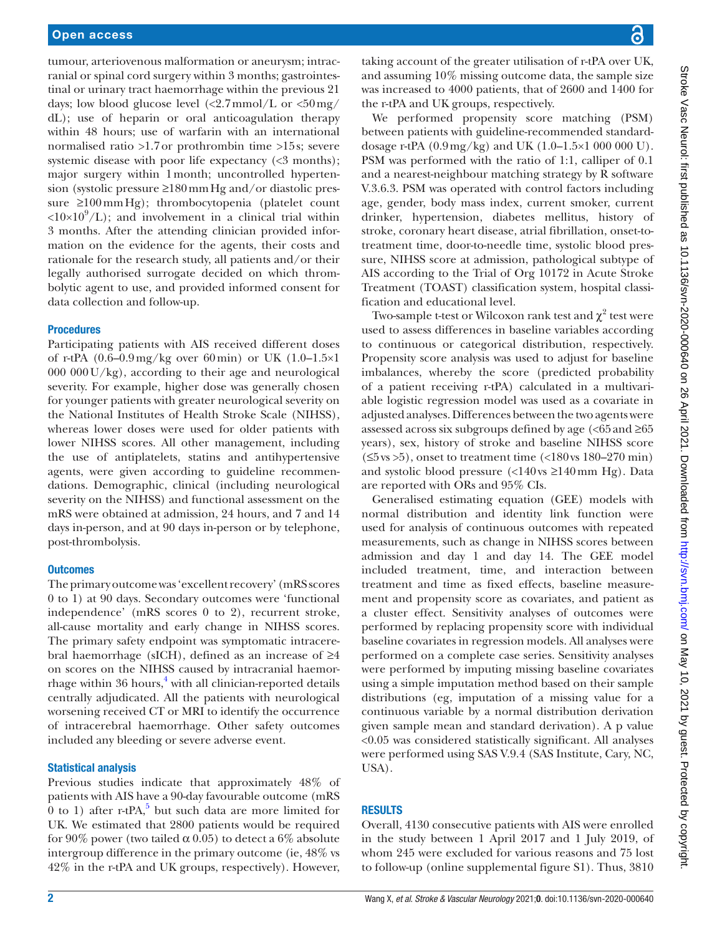tumour, arteriovenous malformation or aneurysm; intracranial or spinal cord surgery within 3 months; gastrointestinal or urinary tract haemorrhage within the previous 21 days; low blood glucose level  $\langle 2.7 \text{mmol/L or } 50 \text{mg}/$ dL); use of heparin or oral anticoagulation therapy within 48 hours; use of warfarin with an international normalised ratio >1.7or prothrombin time >15s; severe systemic disease with poor life expectancy  $\langle \langle 3 \text{ months} \rangle$ ; major surgery within 1month; uncontrolled hypertension (systolic pressure ≥180mmHg and/or diastolic pressure ≥100mmHg); thrombocytopenia (platelet count  $\langle 10 \times 10^9 / L \rangle$ ; and involvement in a clinical trial within 3 months. After the attending clinician provided information on the evidence for the agents, their costs and rationale for the research study, all patients and/or their legally authorised surrogate decided on which thrombolytic agent to use, and provided informed consent for data collection and follow-up.

# **Procedures**

Participating patients with AIS received different doses of r-tPA (0.6–0.9mg/kg over 60min) or UK (1.0–1.5×1  $000 000$ U/kg), according to their age and neurological severity. For example, higher dose was generally chosen for younger patients with greater neurological severity on the National Institutes of Health Stroke Scale (NIHSS), whereas lower doses were used for older patients with lower NIHSS scores. All other management, including the use of antiplatelets, statins and antihypertensive agents, were given according to guideline recommendations. Demographic, clinical (including neurological severity on the NIHSS) and functional assessment on the mRS were obtained at admission, 24 hours, and 7 and 14 days in-person, and at 90 days in-person or by telephone, post-thrombolysis.

## **Outcomes**

The primary outcome was 'excellent recovery' (mRS scores 0 to 1) at 90 days. Secondary outcomes were 'functional independence' (mRS scores 0 to 2), recurrent stroke, all-cause mortality and early change in NIHSS scores. The primary safety endpoint was symptomatic intracerebral haemorrhage (sICH), defined as an increase of ≥4 on scores on the NIHSS caused by intracranial haemor-rhage within 36 hours,<sup>[4](#page-5-2)</sup> with all clinician-reported details centrally adjudicated. All the patients with neurological worsening received CT or MRI to identify the occurrence of intracerebral haemorrhage. Other safety outcomes included any bleeding or severe adverse event.

## Statistical analysis

Previous studies indicate that approximately 48% of patients with AIS have a 90-day favourable outcome (mRS  $\overline{0}$  to 1) after r-tPA,<sup>[5](#page-5-3)</sup> but such data are more limited for UK. We estimated that 2800 patients would be required for 90% power (two tailed  $\alpha$  0.05) to detect a 6% absolute intergroup difference in the primary outcome (ie, 48% vs 42% in the r-tPA and UK groups, respectively). However,

taking account of the greater utilisation of r-tPA over UK, and assuming 10% missing outcome data, the sample size was increased to 4000 patients, that of 2600 and 1400 for the r-tPA and UK groups, respectively.

We performed propensity score matching (PSM) between patients with guideline-recommended standarddosage r-tPA (0.9mg/kg) and UK (1.0–1.5×1 000 000 U). PSM was performed with the ratio of 1:1, calliper of 0.1 and a nearest-neighbour matching strategy by R software V.3.6.3. PSM was operated with control factors including age, gender, body mass index, current smoker, current drinker, hypertension, diabetes mellitus, history of stroke, coronary heart disease, atrial fibrillation, onset-totreatment time, door-to-needle time, systolic blood pressure, NIHSS score at admission, pathological subtype of AIS according to the Trial of Org 10172 in Acute Stroke Treatment (TOAST) classification system, hospital classification and educational level.

Two-sample t-test or Wilcoxon rank test and  $\chi^2$  test were used to assess differences in baseline variables according to continuous or categorical distribution, respectively. Propensity score analysis was used to adjust for baseline imbalances, whereby the score (predicted probability of a patient receiving r-tPA) calculated in a multivariable logistic regression model was used as a covariate in adjusted analyses. Differences between the two agents were assessed across six subgroups defined by age  $\langle$  <65 and  $\geq$ 65 years), sex, history of stroke and baseline NIHSS score  $(5\$ {vs}>5), onset to treatment time  $(180\text{ vs } 180-270 \text{ min})$ and systolic blood pressure  $\langle$  <140 vs  $\geq$ 140 mm Hg). Data are reported with ORs and 95% CIs.

Generalised estimating equation (GEE) models with normal distribution and identity link function were used for analysis of continuous outcomes with repeated measurements, such as change in NIHSS scores between admission and day 1 and day 14. The GEE model included treatment, time, and interaction between treatment and time as fixed effects, baseline measurement and propensity score as covariates, and patient as a cluster effect. Sensitivity analyses of outcomes were performed by replacing propensity score with individual baseline covariates in regression models. All analyses were performed on a complete case series. Sensitivity analyses were performed by imputing missing baseline covariates using a simple imputation method based on their sample distributions (eg, imputation of a missing value for a continuous variable by a normal distribution derivation given sample mean and standard derivation). A p value <0.05 was considered statistically significant. All analyses were performed using SAS V.9.4 (SAS Institute, Cary, NC, USA).

# RESULTS

Overall, 4130 consecutive patients with AIS were enrolled in the study between 1 April 2017 and 1 July 2019, of whom 245 were excluded for various reasons and 75 lost to follow-up ([online supplemental figure S1](https://dx.doi.org/10.1136/svn-2020-000640)). Thus, 3810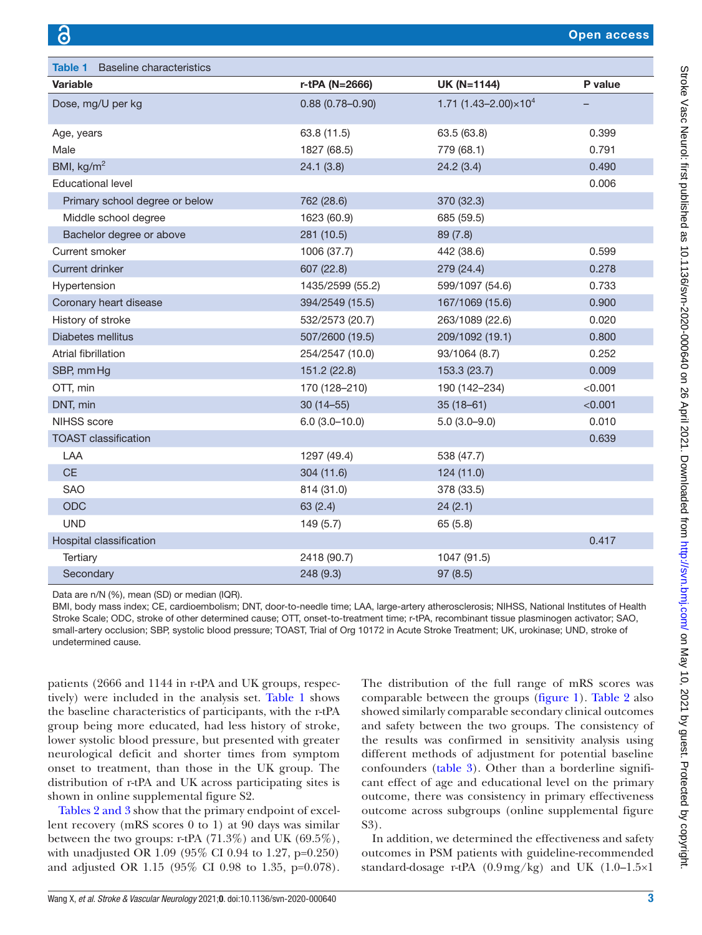<span id="page-2-0"></span>

| <b>Table 1</b><br><b>Baseline characteristics</b> |                     |                                           |         |
|---------------------------------------------------|---------------------|-------------------------------------------|---------|
| <b>Variable</b>                                   | r-tPA (N=2666)      | <b>UK (N=1144)</b>                        | P value |
| Dose, mg/U per kg                                 | $0.88(0.78 - 0.90)$ | 1.71 (1.43-2.00) $\times$ 10 <sup>4</sup> |         |
| Age, years                                        | 63.8 (11.5)         | 63.5 (63.8)                               | 0.399   |
| Male                                              | 1827 (68.5)         | 779 (68.1)                                | 0.791   |
| BMI, $\text{kg/m}^2$                              | 24.1(3.8)           | 24.2(3.4)                                 | 0.490   |
| <b>Educational level</b>                          |                     |                                           | 0.006   |
| Primary school degree or below                    | 762 (28.6)          | 370 (32.3)                                |         |
| Middle school degree                              | 1623 (60.9)         | 685 (59.5)                                |         |
| Bachelor degree or above                          | 281 (10.5)          | 89 (7.8)                                  |         |
| Current smoker                                    | 1006 (37.7)         | 442 (38.6)                                | 0.599   |
| Current drinker                                   | 607 (22.8)          | 279 (24.4)                                | 0.278   |
| Hypertension                                      | 1435/2599 (55.2)    | 599/1097 (54.6)                           | 0.733   |
| Coronary heart disease                            | 394/2549 (15.5)     | 167/1069 (15.6)                           | 0.900   |
| History of stroke                                 | 532/2573 (20.7)     | 263/1089 (22.6)                           | 0.020   |
| Diabetes mellitus                                 | 507/2600 (19.5)     | 209/1092 (19.1)                           | 0.800   |
| Atrial fibrillation                               | 254/2547 (10.0)     | 93/1064 (8.7)                             | 0.252   |
| SBP, mmHg                                         | 151.2 (22.8)        | 153.3 (23.7)                              | 0.009   |
| OTT, min                                          | 170 (128-210)       | 190 (142-234)                             | < 0.001 |
| DNT, min                                          | $30(14 - 55)$       | $35(18-61)$                               | < 0.001 |
| <b>NIHSS</b> score                                | $6.0(3.0-10.0)$     | $5.0(3.0-9.0)$                            | 0.010   |
| <b>TOAST classification</b>                       |                     |                                           | 0.639   |
| LAA                                               | 1297 (49.4)         | 538 (47.7)                                |         |
| CE                                                | 304 (11.6)          | 124 (11.0)                                |         |
| <b>SAO</b>                                        | 814 (31.0)          | 378 (33.5)                                |         |
| ODC                                               | 63(2.4)             | 24(2.1)                                   |         |
| <b>UND</b>                                        | 149(5.7)            | 65 (5.8)                                  |         |
| Hospital classification                           |                     |                                           | 0.417   |
| Tertiary                                          | 2418 (90.7)         | 1047 (91.5)                               |         |
| Secondary                                         | 248 (9.3)           | 97(8.5)                                   |         |

Data are n/N (%), mean (SD) or median (IQR).

BMI, body mass index; CE, cardioembolism; DNT, door-to-needle time; LAA, large-artery atherosclerosis; NIHSS, National Institutes of Health Stroke Scale; ODC, stroke of other determined cause; OTT, onset-to-treatment time; r-tPA, recombinant tissue plasminogen activator; SAO, small-artery occlusion; SBP, systolic blood pressure; TOAST, Trial of Org 10172 in Acute Stroke Treatment; UK, urokinase; UND, stroke of undetermined cause.

patients (2666 and 1144 in r-tPA and UK groups, respectively) were included in the analysis set. [Table](#page-2-0) 1 shows the baseline characteristics of participants, with the r-tPA group being more educated, had less history of stroke, lower systolic blood pressure, but presented with greater neurological deficit and shorter times from symptom onset to treatment, than those in the UK group. The distribution of r-tPA and UK across participating sites is shown in [online supplemental figure S2.](https://dx.doi.org/10.1136/svn-2020-000640)

Tables [2 and 3](#page-3-0) show that the primary endpoint of excellent recovery (mRS scores 0 to 1) at 90 days was similar between the two groups: r-tPA (71.3%) and UK (69.5%), with unadjusted OR 1.09 (95% CI 0.94 to 1.27, p=0.250) and adjusted OR 1.15 (95% CI 0.98 to 1.35, p=0.078).

The distribution of the full range of mRS scores was comparable between the groups ([figure](#page-4-0) 1). [Table](#page-3-0) 2 also showed similarly comparable secondary clinical outcomes and safety between the two groups. The consistency of the results was confirmed in sensitivity analysis using different methods of adjustment for potential baseline confounders [\(table](#page-4-1) 3). Other than a borderline significant effect of age and educational level on the primary outcome, there was consistency in primary effectiveness outcome across subgroups [\(online supplemental figure](https://dx.doi.org/10.1136/svn-2020-000640)  [S3](https://dx.doi.org/10.1136/svn-2020-000640)).

In addition, we determined the effectiveness and safety outcomes in PSM patients with guideline-recommended standard-dosage r-tPA (0.9mg/kg) and UK (1.0–1.5×1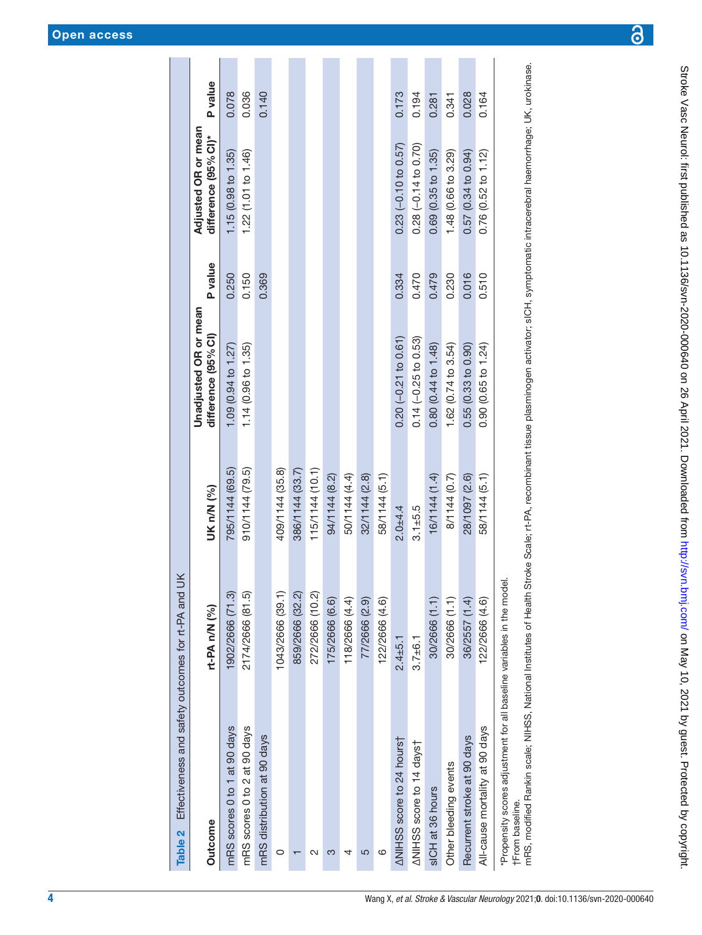| Effectiveness and safety outcomes for rt-PA and<br>Table 2             | $\leq$           |                 |                                                     |         |                                             |         |
|------------------------------------------------------------------------|------------------|-----------------|-----------------------------------------------------|---------|---------------------------------------------|---------|
| Outcome                                                                | rt-PA n/N (%)    | UK n/N (%)      | <b>Unadjusted OR or mean</b><br>difference (95% CI) | P value | Adjusted OR or mean<br>difference (95% CI)* | P value |
| mRS scores 0 to 1 at 90 days                                           | 1902/2666 (71.3) | 795/1144 (69.5) | 1.09 (0.94 to 1.27)                                 | 0.250   | 1.15(0.98 to 1.35)                          | 0.078   |
| mRS scores 0 to 2 at 90 days                                           | 2174/2666 (81.5) | 910/1144 (79.5) | 1.14 (0.96 to 1.35)                                 | 0.150   | 1.22 (1.01 to 1.46)                         | 0.036   |
| mRS distribution at 90 days                                            |                  |                 |                                                     | 0.369   |                                             | 0.140   |
| 0                                                                      | 1043/2666 (39.1) | 409/1144 (35.8) |                                                     |         |                                             |         |
|                                                                        | 859/2666 (32.2)  | 386/1144 (33.7) |                                                     |         |                                             |         |
| N                                                                      | 272/2666 (10.2)  | 115/1144 (10.1) |                                                     |         |                                             |         |
| ო                                                                      | 175/2666 (6.6)   | 94/1144 (8.2)   |                                                     |         |                                             |         |
| 4                                                                      | 118/2666 (4.4)   | 50/1144 (4.4)   |                                                     |         |                                             |         |
| 5                                                                      | 77/2666 (2.9)    | 32/1144 (2.8)   |                                                     |         |                                             |         |
| ဖ                                                                      | 122/2666 (4.6)   | 58/1144 (5.1)   |                                                     |         |                                             |         |
| <b>ANIHSS</b> score to 24 hours                                        | $2.4 + 5.1$      | $2.0 + 4.4$     | $0.20 (-0.21 to 0.61)$                              | 0.334   | $0.23(-0.10 to 0.57)$                       | 0.173   |
| <b>ANIHSS score to 14 dayst</b>                                        | $3.7 + 6.1$      | $3.1 + 5.5$     | $0.14 (-0.25 to 0.53)$                              | 0.470   | $0.28(-0.14 to 0.70)$                       | 0.194   |
| sICH at 36 hours                                                       | 30/2666 (1.1)    | 16/1144 (1.4)   | 0.80 (0.44 to 1.48)                                 | 0.479   | 0.69(0.35 to 1.35)                          | 0.281   |
| Other bleeding events                                                  | 30/2666 (1.1)    | 8/1144 (0.7)    | 1.62 (0.74 to 3.54)                                 | 0.230   | 1.48 (0.66 to 3.29)                         | 0.341   |
| Recurrent stroke at 90 days                                            | 36/2557 (1.4)    | 28/1097 (2.6)   | 0.55(0.33 to 0.90)                                  | 0.016   | 0.57(0.34 to 0.94)                          | 0.028   |
| All-cause mortality at 90 days                                         | 122/2666 (4.6)   | 58/1144 (5.1)   | 0.90 (0.65 to 1.24)                                 | 0.510   | 0.76(0.52 to 1.12)                          | 0.164   |
| *Propensity scores adjustment for all baseline variables in the model. |                  |                 |                                                     |         |                                             |         |

<span id="page-3-0"></span>

†From baseline.<br>mRS, modified Rankin scale; NIHSS, National Institutes of Health Stroke Scale; rt-PA, recombinant tissue plasminogen activator; sICH, symptomatic intracerebral haemorrhage; UK, urokinase. mRS, modified Rankin scale; NIHSS, National Institutes of Health Stroke Scale; rt-PA, recombinant tissue plasminogen activator; sICH, symptomatic intracerebral haemorrhage; UK, urokinase. †From baseline.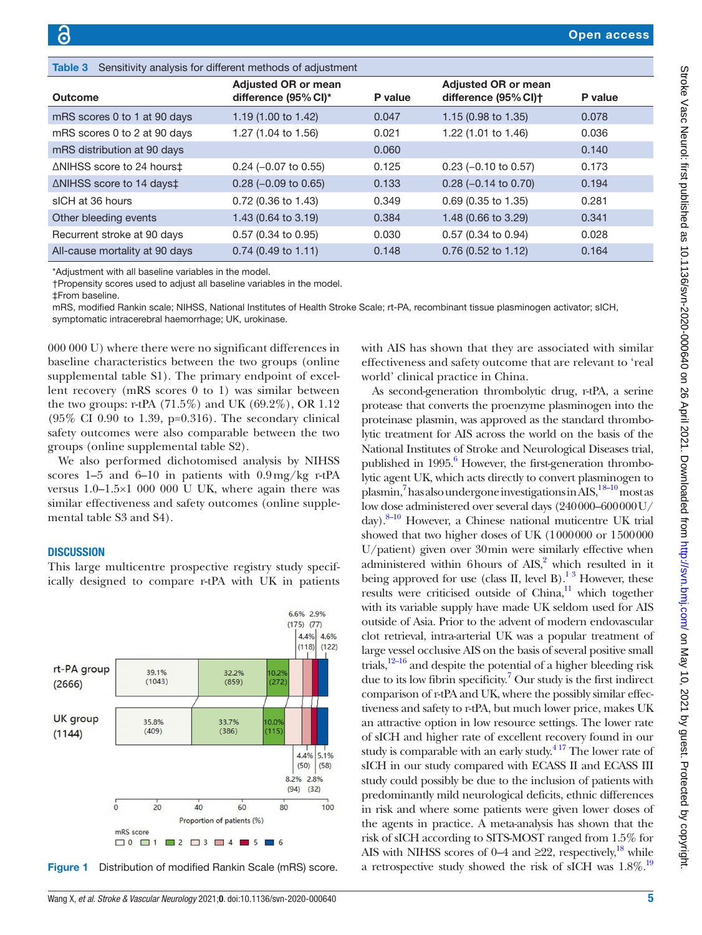<span id="page-4-1"></span>

| <b>Table 3</b> Sensitivity analysis for different methods of adjustment |                                                    |         |                                                                |         |  |  |
|-------------------------------------------------------------------------|----------------------------------------------------|---------|----------------------------------------------------------------|---------|--|--|
| Outcome                                                                 | <b>Adjusted OR or mean</b><br>difference (95% CI)* | P value | <b>Adjusted OR or mean</b><br>difference (95% CI) <sup>+</sup> | P value |  |  |
| mRS scores 0 to 1 at 90 days                                            | 1.19 (1.00 to 1.42)                                | 0.047   | 1.15 $(0.98 \text{ to } 1.35)$                                 | 0.078   |  |  |
| mRS scores 0 to 2 at 90 days                                            | 1.27 (1.04 to 1.56)                                | 0.021   | 1.22 (1.01 to 1.46)                                            | 0.036   |  |  |
| mRS distribution at 90 days                                             |                                                    | 0.060   |                                                                | 0.140   |  |  |
| ∆NIHSS score to 24 hours‡                                               | $0.24$ (-0.07 to 0.55)                             | 0.125   | $0.23$ (-0.10 to 0.57)                                         | 0.173   |  |  |
| $\triangle$ NIHSS score to 14 days $\ddagger$                           | $0.28$ (-0.09 to 0.65)                             | 0.133   | $0.28$ (-0.14 to 0.70)                                         | 0.194   |  |  |
| sICH at 36 hours                                                        | $0.72$ (0.36 to 1.43)                              | 0.349   | $0.69$ (0.35 to 1.35)                                          | 0.281   |  |  |
| Other bleeding events                                                   | 1.43 (0.64 to 3.19)                                | 0.384   | 1.48 (0.66 to 3.29)                                            | 0.341   |  |  |
| Recurrent stroke at 90 days                                             | $0.57$ (0.34 to 0.95)                              | 0.030   | 0.57 (0.34 to 0.94)                                            | 0.028   |  |  |
| All-cause mortality at 90 days                                          | $0.74$ (0.49 to 1.11)                              | 0.148   | $0.76$ (0.52 to 1.12)                                          | 0.164   |  |  |

\*Adjustment with all baseline variables in the model.

†Propensity scores used to adjust all baseline variables in the model.

‡From baseline.

mRS, modified Rankin scale; NIHSS, National Institutes of Health Stroke Scale; rt-PA, recombinant tissue plasminogen activator; sICH, symptomatic intracerebral haemorrhage; UK, urokinase.

000 000 U) where there were no significant differences in baseline characteristics between the two groups [\(online](https://dx.doi.org/10.1136/svn-2020-000640) [supplemental table S1](https://dx.doi.org/10.1136/svn-2020-000640)). The primary endpoint of excellent recovery (mRS scores 0 to 1) was similar between the two groups: r-tPA (71.5%) and UK (69.2%), OR 1.12 (95% CI 0.90 to 1.39, p=0.316). The secondary clinical safety outcomes were also comparable between the two groups [\(online supplemental table S2](https://dx.doi.org/10.1136/svn-2020-000640)).

We also performed dichotomised analysis by NIHSS scores 1–5 and 6–10 in patients with  $0.9 \text{ mg/kg}$  r-tPA versus 1.0–1.5×1 000 000 U UK, where again there was similar effectiveness and safety outcomes [\(online supple](https://dx.doi.org/10.1136/svn-2020-000640)[mental table S3 and S4](https://dx.doi.org/10.1136/svn-2020-000640)).

# **DISCUSSION**

This large multicentre prospective registry study specifically designed to compare r-tPA with UK in patients



<span id="page-4-0"></span>Figure 1 Distribution of modified Rankin Scale (mRS) score.

with AIS has shown that they are associated with similar effectiveness and safety outcome that are relevant to 'real world' clinical practice in China.

As second-generation thrombolytic drug, r-tPA, a serine protease that converts the proenzyme plasminogen into the proteinase plasmin, was approved as the standard thrombolytic treatment for AIS across the world on the basis of the National Institutes of Stroke and Neurological Diseases trial, published in 1995.<sup>6</sup> However, the first-generation thrombolytic agent UK, which acts directly to convert plasminogen to plasmin,<sup>7</sup> has also undergone investigations in AIS,<sup>18-10</sup> most as low dose administered over several days (240000–600000U/ day)[.8–10](#page-5-6) However, a Chinese national muticentre UK trial showed that two higher doses of UK (1000000 or 1500000 U/patient) given over 30min were similarly effective when administered within 6 hours of  $AIS<sub>1</sub><sup>2</sup>$  $AIS<sub>1</sub><sup>2</sup>$  $AIS<sub>1</sub><sup>2</sup>$  which resulted in it being approved for use (class II, level B).<sup>1,3</sup> However, these results were criticised outside of  $China$ <sup>[11](#page-5-7)</sup>, which together with its variable supply have made UK seldom used for AIS outside of Asia. Prior to the advent of modern endovascular clot retrieval, intra-arterial UK was a popular treatment of large vessel occlusive AIS on the basis of several positive small trials, $12-16$  and despite the potential of a higher bleeding risk due to its low fibrin specificity.<sup>[7](#page-5-5)</sup> Our study is the first indirect comparison of r-tPA and UK, where the possibly similar effectiveness and safety to r-tPA, but much lower price, makes UK an attractive option in low resource settings. The lower rate of sICH and higher rate of excellent recovery found in our study is comparable with an early study. $4^{17}$  The lower rate of sICH in our study compared with ECASS II and ECASS III study could possibly be due to the inclusion of patients with predominantly mild neurological deficits, ethnic differences in risk and where some patients were given lower doses of the agents in practice. A meta-analysis has shown that the risk of sICH according to SITS-MOST ranged from 1.5% for AIS with NIHSS scores of 0–4 and  $\geq 22$ , respectively,<sup>18</sup> while a retrospective study showed the risk of sICH was 1.8%.<sup>19</sup>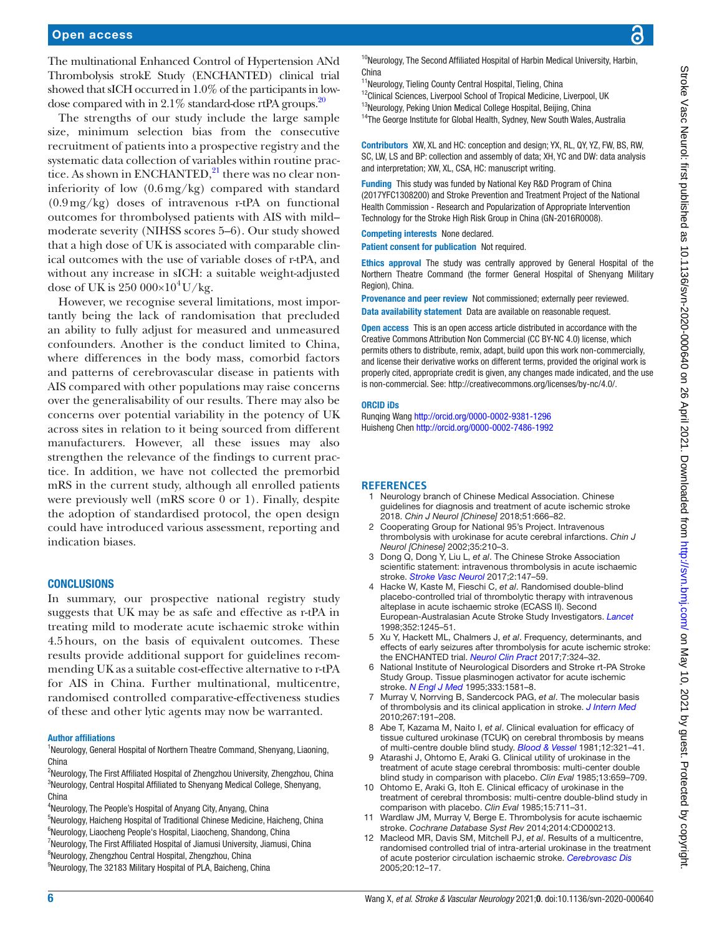The multinational Enhanced Control of Hypertension ANd Thrombolysis strokE Study (ENCHANTED) clinical trial showed that sICH occurred in 1.0% of the participants in lowdose compared with in  $2.1\%$  standard-dose rtPA groups.<sup>20</sup>

The strengths of our study include the large sample size, minimum selection bias from the consecutive recruitment of patients into a prospective registry and the systematic data collection of variables within routine practice. As shown in ENCHANTED,<sup>21</sup> there was no clear noninferiority of low (0.6mg/kg) compared with standard (0.9mg/kg) doses of intravenous r-tPA on functional outcomes for thrombolysed patients with AIS with mild– moderate severity (NIHSS scores 5–6). Our study showed that a high dose of UK is associated with comparable clinical outcomes with the use of variable doses of r-tPA, and without any increase in sICH: a suitable weight-adjusted dose of UK is  $250\,000\times10^4$  U/kg.

However, we recognise several limitations, most importantly being the lack of randomisation that precluded an ability to fully adjust for measured and unmeasured confounders. Another is the conduct limited to China, where differences in the body mass, comorbid factors and patterns of cerebrovascular disease in patients with AIS compared with other populations may raise concerns over the generalisability of our results. There may also be concerns over potential variability in the potency of UK across sites in relation to it being sourced from different manufacturers. However, all these issues may also strengthen the relevance of the findings to current practice. In addition, we have not collected the premorbid mRS in the current study, although all enrolled patients were previously well (mRS score 0 or 1). Finally, despite the adoption of standardised protocol, the open design could have introduced various assessment, reporting and indication biases.

# **CONCLUSIONS**

In summary, our prospective national registry study suggests that UK may be as safe and effective as r-tPA in treating mild to moderate acute ischaemic stroke within 4.5hours, on the basis of equivalent outcomes. These results provide additional support for guidelines recommending UK as a suitable cost-effective alternative to r-tPA for AIS in China. Further multinational, multicentre, randomised controlled comparative-effectiveness studies of these and other lytic agents may now be warranted.

#### Author affiliations

<sup>1</sup>Neurology, General Hospital of Northern Theatre Command, Shenyang, Liaoning, China

<sup>2</sup>Neurology, The First Affiliated Hospital of Zhengzhou University, Zhengzhou, China <sup>3</sup>Neurology, Central Hospital Affiliated to Shenyang Medical College, Shenyang, China

<sup>4</sup>Neurology, The People's Hospital of Anyang City, Anyang, China

<sup>5</sup>Neurology, Haicheng Hospital of Traditional Chinese Medicine, Haicheng, China 6 Neurology, Liaocheng People's Hospital, Liaocheng, Shandong, China

<sup>7</sup>Neurology, The First Affiliated Hospital of Jiamusi University, Jiamusi, China

<sup>8</sup>Neurology, Zhengzhou Central Hospital, Zhengzhou, China

<sup>10</sup>Neurology, The Second Affiliated Hospital of Harbin Medical University, Harbin, China

- <sup>11</sup>Neurology, Tieling County Central Hospital, Tieling, China
- <sup>12</sup>Clinical Sciences, Liverpool School of Tropical Medicine, Liverpool, UK

<sup>13</sup>Neurology, Peking Union Medical College Hospital, Beijing, China <sup>14</sup>The George Institute for Global Health, Sydney, New South Wales, Australia

Contributors XW, XL and HC: conception and design; YX, RL, QY, YZ, FW, BS, RW, SC, LW, LS and BP: collection and assembly of data; XH, YC and DW: data analysis and interpretation; XW, XL, CSA, HC: manuscript writing.

Funding This study was funded by National Key R&D Program of China (2017YFC1308200) and Stroke Prevention and Treatment Project of the National Health Commission - Research and Popularization of Appropriate Intervention Technology for the Stroke High Risk Group in China (GN-2016R0008).

#### Competing interests None declared.

Patient consent for publication Not required.

Ethics approval The study was centrally approved by General Hospital of the Northern Theatre Command (the former General Hospital of Shenyang Military Region), China.

Provenance and peer review Not commissioned; externally peer reviewed. Data availability statement Data are available on reasonable request.

Open access This is an open access article distributed in accordance with the Creative Commons Attribution Non Commercial (CC BY-NC 4.0) license, which permits others to distribute, remix, adapt, build upon this work non-commercially, and license their derivative works on different terms, provided the original work is properly cited, appropriate credit is given, any changes made indicated, and the use is non-commercial. See: [http://creativecommons.org/licenses/by-nc/4.0/.](http://creativecommons.org/licenses/by-nc/4.0/)

#### ORCID iDs

Runqing Wang <http://orcid.org/0000-0002-9381-1296> Huisheng Chen<http://orcid.org/0000-0002-7486-1992>

#### <span id="page-5-0"></span>**REFERENCES**

- 1 Neurology branch of Chinese Medical Association. Chinese guidelines for diagnosis and treatment of acute ischemic stroke 2018. *Chin J Neurol [Chinese]* 2018;51:666–82.
- <span id="page-5-1"></span>2 Cooperating Group for National 95's Project. Intravenous thrombolysis with urokinase for acute cerebral infarctions. *Chin J Neurol [Chinese]* 2002;35:210–3.
- 3 Dong Q, Dong Y, Liu L, *et al*. The Chinese Stroke Association scientific statement: intravenous thrombolysis in acute ischaemic stroke. *[Stroke Vasc Neurol](http://dx.doi.org/10.1136/svn-2017-000074)* 2017;2:147–59.
- <span id="page-5-2"></span>4 Hacke W, Kaste M, Fieschi C, *et al*. Randomised double-blind placebo-controlled trial of thrombolytic therapy with intravenous alteplase in acute ischaemic stroke (ECASS II). Second European-Australasian Acute Stroke Study Investigators. *[Lancet](http://dx.doi.org/10.1016/s0140-6736(98)08020-9)* 1998;352:1245–51.
- <span id="page-5-3"></span>5 Xu Y, Hackett ML, Chalmers J, *et al*. Frequency, determinants, and effects of early seizures after thrombolysis for acute ischemic stroke: the ENCHANTED trial. *[Neurol Clin Pract](http://dx.doi.org/10.1212/CPJ.0000000000000384)* 2017;7:324–32.
- <span id="page-5-4"></span>6 National Institute of Neurological Disorders and Stroke rt-PA Stroke Study Group. Tissue plasminogen activator for acute ischemic stroke. *[N Engl J Med](http://dx.doi.org/10.1056/NEJM199512143332401)* 1995;333:1581–8.
- <span id="page-5-5"></span>7 Murray V, Norrving B, Sandercock PAG, *et al*. The molecular basis of thrombolysis and its clinical application in stroke. *[J Intern Med](http://dx.doi.org/10.1111/j.1365-2796.2009.02205.x)* 2010;267:191–208.
- <span id="page-5-6"></span>8 Abe T, Kazama M, Naito I, *et al*. Clinical evaluation for efficacy of tissue cultured urokinase (TCUK) on cerebral thrombosis by means of multi-centre double blind study. *[Blood & Vessel](http://dx.doi.org/10.2491/jjsth1970.12.321)* 1981;12:321–41.
- 9 Atarashi J, Ohtomo E, Araki G. Clinical utility of urokinase in the treatment of acute stage cerebral thrombosis: multi-center double blind study in comparison with placebo. *Clin Eval* 1985;13:659–709.
- 10 Ohtomo E, Araki G, Itoh E. Clinical efficacy of urokinase in the treatment of cerebral thrombosis: multi-centre double-blind study in comparison with placebo. *Clin Eval* 1985;15:711–31.
- <span id="page-5-7"></span>11 Wardlaw JM, Murray V, Berge E. Thrombolysis for acute ischaemic stroke. *Cochrane Database Syst Rev* 2014;2014:CD000213.
- <span id="page-5-8"></span>12 Macleod MR, Davis SM, Mitchell PJ, *et al*. Results of a multicentre, randomised controlled trial of intra-arterial urokinase in the treatment of acute posterior circulation ischaemic stroke. *[Cerebrovasc Dis](http://dx.doi.org/10.1159/000086121)* 2005;20:12–17.

<sup>&</sup>lt;sup>9</sup>Neurology, The 32183 Military Hospital of PLA, Baicheng, China